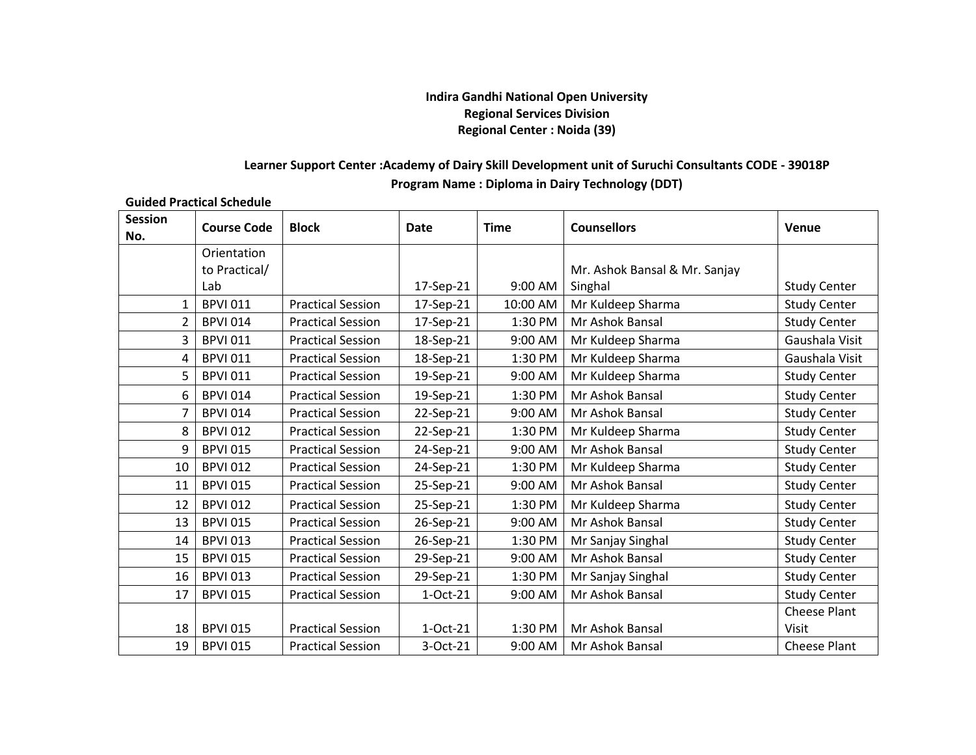## **Indira Gandhi National Open University Regional Services Division Regional Center : Noida (39)**

## **Learner Support Center :Academy of Dairy Skill Development unit of Suruchi Consultants CODE - 39018P Program Name : Diploma in Dairy Technology (DDT)**

## **Guided Practical Schedule**

| <b>Session</b><br>No. | <b>Course Code</b> | <b>Block</b>             | Date      | <b>Time</b> | <b>Counsellors</b>            | Venue               |
|-----------------------|--------------------|--------------------------|-----------|-------------|-------------------------------|---------------------|
|                       | Orientation        |                          |           |             |                               |                     |
|                       | to Practical/      |                          |           |             | Mr. Ashok Bansal & Mr. Sanjay |                     |
|                       | Lab                |                          | 17-Sep-21 | 9:00 AM     | Singhal                       | <b>Study Center</b> |
| 1                     | <b>BPVI 011</b>    | <b>Practical Session</b> | 17-Sep-21 | 10:00 AM    | Mr Kuldeep Sharma             | <b>Study Center</b> |
| $\overline{2}$        | <b>BPVI 014</b>    | <b>Practical Session</b> | 17-Sep-21 | 1:30 PM     | Mr Ashok Bansal               | <b>Study Center</b> |
| 3                     | <b>BPVI 011</b>    | <b>Practical Session</b> | 18-Sep-21 | 9:00 AM     | Mr Kuldeep Sharma             | Gaushala Visit      |
| 4                     | <b>BPVI 011</b>    | <b>Practical Session</b> | 18-Sep-21 | 1:30 PM     | Mr Kuldeep Sharma             | Gaushala Visit      |
| 5                     | <b>BPVI 011</b>    | <b>Practical Session</b> | 19-Sep-21 | 9:00 AM     | Mr Kuldeep Sharma             | <b>Study Center</b> |
| 6                     | <b>BPVI 014</b>    | <b>Practical Session</b> | 19-Sep-21 | 1:30 PM     | Mr Ashok Bansal               | <b>Study Center</b> |
| $\overline{7}$        | <b>BPVI 014</b>    | <b>Practical Session</b> | 22-Sep-21 | 9:00 AM     | Mr Ashok Bansal               | <b>Study Center</b> |
| 8                     | <b>BPVI 012</b>    | <b>Practical Session</b> | 22-Sep-21 | 1:30 PM     | Mr Kuldeep Sharma             | <b>Study Center</b> |
| 9                     | <b>BPVI 015</b>    | <b>Practical Session</b> | 24-Sep-21 | 9:00 AM     | Mr Ashok Bansal               | <b>Study Center</b> |
| 10                    | <b>BPVI 012</b>    | <b>Practical Session</b> | 24-Sep-21 | 1:30 PM     | Mr Kuldeep Sharma             | <b>Study Center</b> |
| 11                    | <b>BPVI 015</b>    | <b>Practical Session</b> | 25-Sep-21 | 9:00 AM     | Mr Ashok Bansal               | <b>Study Center</b> |
| 12                    | <b>BPVI 012</b>    | <b>Practical Session</b> | 25-Sep-21 | 1:30 PM     | Mr Kuldeep Sharma             | <b>Study Center</b> |
| 13                    | <b>BPVI 015</b>    | <b>Practical Session</b> | 26-Sep-21 | 9:00 AM     | Mr Ashok Bansal               | <b>Study Center</b> |
| 14                    | <b>BPVI 013</b>    | <b>Practical Session</b> | 26-Sep-21 | 1:30 PM     | Mr Sanjay Singhal             | <b>Study Center</b> |
| 15                    | <b>BPVI 015</b>    | <b>Practical Session</b> | 29-Sep-21 | 9:00 AM     | Mr Ashok Bansal               | <b>Study Center</b> |
| 16                    | <b>BPVI 013</b>    | <b>Practical Session</b> | 29-Sep-21 | 1:30 PM     | Mr Sanjay Singhal             | <b>Study Center</b> |
| 17                    | <b>BPVI 015</b>    | <b>Practical Session</b> | 1-Oct-21  | 9:00 AM     | Mr Ashok Bansal               | <b>Study Center</b> |
|                       |                    |                          |           |             |                               | <b>Cheese Plant</b> |
| 18                    | <b>BPVI 015</b>    | <b>Practical Session</b> | 1-Oct-21  | 1:30 PM     | Mr Ashok Bansal               | Visit               |
| 19                    | <b>BPVI 015</b>    | <b>Practical Session</b> | 3-Oct-21  | 9:00 AM     | Mr Ashok Bansal               | <b>Cheese Plant</b> |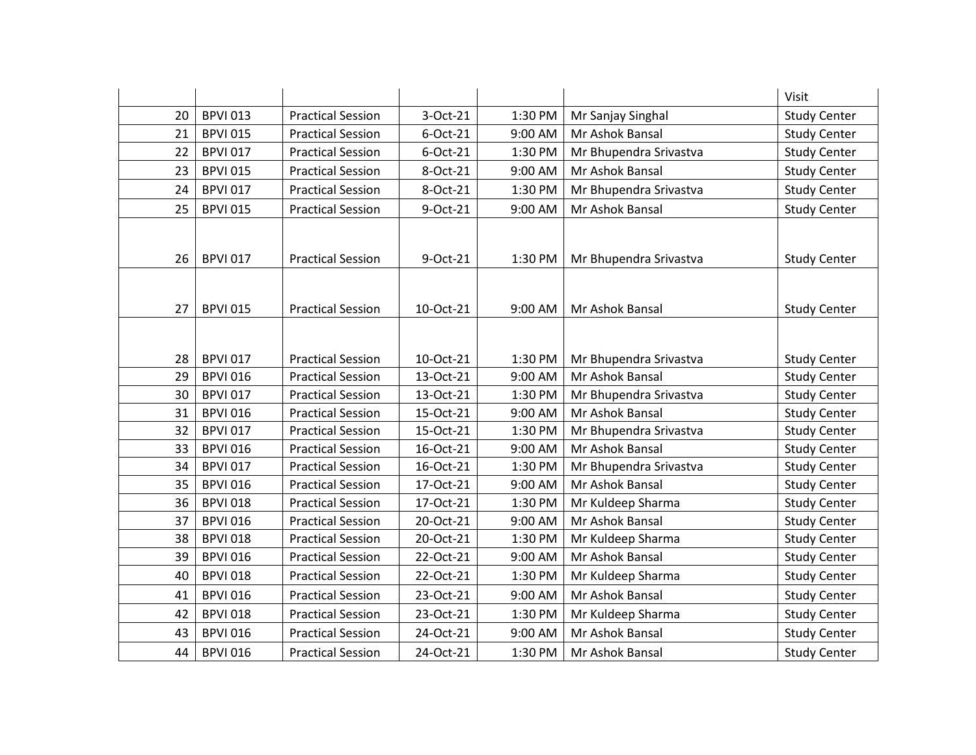|    |                 |                          |           |         |                        | Visit               |
|----|-----------------|--------------------------|-----------|---------|------------------------|---------------------|
| 20 | <b>BPVI 013</b> | <b>Practical Session</b> | 3-Oct-21  | 1:30 PM | Mr Sanjay Singhal      | <b>Study Center</b> |
| 21 | <b>BPVI 015</b> | <b>Practical Session</b> | 6-Oct-21  | 9:00 AM | Mr Ashok Bansal        | <b>Study Center</b> |
| 22 | <b>BPVI 017</b> | <b>Practical Session</b> | 6-Oct-21  | 1:30 PM | Mr Bhupendra Srivastva | <b>Study Center</b> |
| 23 | <b>BPVI 015</b> | <b>Practical Session</b> | 8-Oct-21  | 9:00 AM | Mr Ashok Bansal        | <b>Study Center</b> |
| 24 | <b>BPVI 017</b> | <b>Practical Session</b> | 8-Oct-21  | 1:30 PM | Mr Bhupendra Srivastva | <b>Study Center</b> |
| 25 | <b>BPVI 015</b> | <b>Practical Session</b> | 9-Oct-21  | 9:00 AM | Mr Ashok Bansal        | <b>Study Center</b> |
|    |                 |                          |           |         |                        |                     |
| 26 | <b>BPVI 017</b> | <b>Practical Session</b> | 9-Oct-21  | 1:30 PM | Mr Bhupendra Srivastva | <b>Study Center</b> |
|    |                 |                          |           |         |                        |                     |
| 27 | <b>BPVI 015</b> | <b>Practical Session</b> | 10-Oct-21 | 9:00 AM | Mr Ashok Bansal        | <b>Study Center</b> |
|    |                 |                          |           |         |                        |                     |
| 28 | <b>BPVI 017</b> | <b>Practical Session</b> | 10-Oct-21 | 1:30 PM | Mr Bhupendra Srivastva | <b>Study Center</b> |
| 29 | <b>BPVI 016</b> | <b>Practical Session</b> | 13-Oct-21 | 9:00 AM | Mr Ashok Bansal        | <b>Study Center</b> |
| 30 | <b>BPVI 017</b> | <b>Practical Session</b> | 13-Oct-21 | 1:30 PM | Mr Bhupendra Srivastva | <b>Study Center</b> |
| 31 | <b>BPVI 016</b> | <b>Practical Session</b> | 15-Oct-21 | 9:00 AM | Mr Ashok Bansal        | <b>Study Center</b> |
| 32 | <b>BPVI 017</b> | <b>Practical Session</b> | 15-Oct-21 | 1:30 PM | Mr Bhupendra Srivastva | <b>Study Center</b> |
| 33 | <b>BPVI 016</b> | <b>Practical Session</b> | 16-Oct-21 | 9:00 AM | Mr Ashok Bansal        | <b>Study Center</b> |
| 34 | <b>BPVI 017</b> | <b>Practical Session</b> | 16-Oct-21 | 1:30 PM | Mr Bhupendra Srivastva | <b>Study Center</b> |
| 35 | <b>BPVI 016</b> | <b>Practical Session</b> | 17-Oct-21 | 9:00 AM | Mr Ashok Bansal        | <b>Study Center</b> |
| 36 | <b>BPVI 018</b> | <b>Practical Session</b> | 17-Oct-21 | 1:30 PM | Mr Kuldeep Sharma      | <b>Study Center</b> |
| 37 | <b>BPVI 016</b> | <b>Practical Session</b> | 20-Oct-21 | 9:00 AM | Mr Ashok Bansal        | <b>Study Center</b> |
| 38 | <b>BPVI 018</b> | <b>Practical Session</b> | 20-Oct-21 | 1:30 PM | Mr Kuldeep Sharma      | <b>Study Center</b> |
| 39 | <b>BPVI 016</b> | <b>Practical Session</b> | 22-Oct-21 | 9:00 AM | Mr Ashok Bansal        | <b>Study Center</b> |
| 40 | <b>BPVI 018</b> | <b>Practical Session</b> | 22-Oct-21 | 1:30 PM | Mr Kuldeep Sharma      | <b>Study Center</b> |
| 41 | <b>BPVI 016</b> | <b>Practical Session</b> | 23-Oct-21 | 9:00 AM | Mr Ashok Bansal        | <b>Study Center</b> |
| 42 | <b>BPVI 018</b> | <b>Practical Session</b> | 23-Oct-21 | 1:30 PM | Mr Kuldeep Sharma      | <b>Study Center</b> |
| 43 | <b>BPVI 016</b> | <b>Practical Session</b> | 24-Oct-21 | 9:00 AM | Mr Ashok Bansal        | <b>Study Center</b> |
| 44 | <b>BPVI 016</b> | <b>Practical Session</b> | 24-Oct-21 | 1:30 PM | Mr Ashok Bansal        | <b>Study Center</b> |